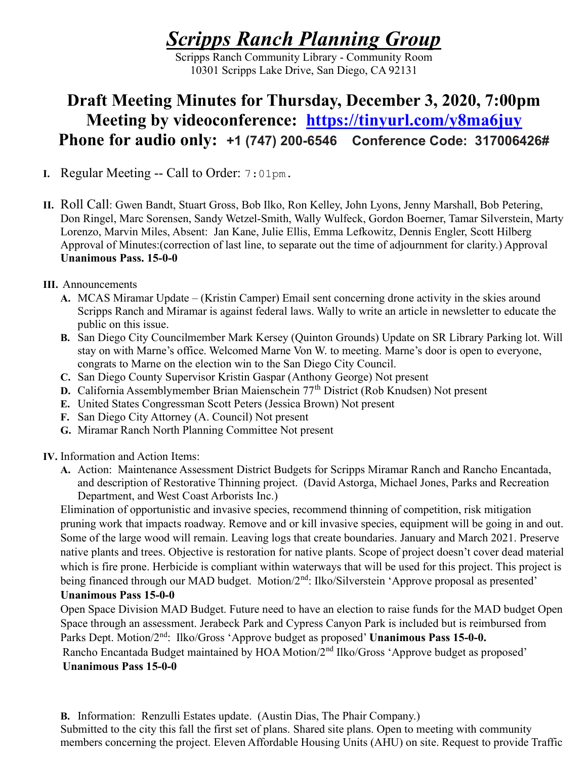# Scripps Ranch Planning Group

Scripps Ranch Community Library - Community Room 10301 Scripps Lake Drive, San Diego, CA 92131

# Draft Meeting Minutes for Thursday, December 3, 2020, 7:00pm Meeting by videoconference: https://tinyurl.com/y8ma6juy Phone for audio only: +1 (747) 200-6546 Conference Code: 317006426#

- I. Regular Meeting -- Call to Order: 7:01pm.
- II. Roll Call: Gwen Bandt, Stuart Gross, Bob Ilko, Ron Kelley, John Lyons, Jenny Marshall, Bob Petering, Don Ringel, Marc Sorensen, Sandy Wetzel-Smith, Wally Wulfeck, Gordon Boerner, Tamar Silverstein, Marty Lorenzo, Marvin Miles, Absent: Jan Kane, Julie Ellis, Emma Lefkowitz, Dennis Engler, Scott Hilberg Approval of Minutes:(correction of last line, to separate out the time of adjournment for clarity.) Approval Unanimous Pass. 15-0-0
- III. Announcements
	- A. MCAS Miramar Update (Kristin Camper) Email sent concerning drone activity in the skies around Scripps Ranch and Miramar is against federal laws. Wally to write an article in newsletter to educate the public on this issue.
	- B. San Diego City Councilmember Mark Kersey (Quinton Grounds) Update on SR Library Parking lot. Will stay on with Marne's office. Welcomed Marne Von W. to meeting. Marne's door is open to everyone, congrats to Marne on the election win to the San Diego City Council.
	- C. San Diego County Supervisor Kristin Gaspar (Anthony George) Not present
	- D. California Assemblymember Brian Maienschein 77th District (Rob Knudsen) Not present
	- E. United States Congressman Scott Peters (Jessica Brown) Not present
	- F. San Diego City Attorney (A. Council) Not present
	- G. Miramar Ranch North Planning Committee Not present

## IV. Information and Action Items:

A. Action: Maintenance Assessment District Budgets for Scripps Miramar Ranch and Rancho Encantada, and description of Restorative Thinning project. (David Astorga, Michael Jones, Parks and Recreation Department, and West Coast Arborists Inc.)

Elimination of opportunistic and invasive species, recommend thinning of competition, risk mitigation pruning work that impacts roadway. Remove and or kill invasive species, equipment will be going in and out. Some of the large wood will remain. Leaving logs that create boundaries. January and March 2021. Preserve native plants and trees. Objective is restoration for native plants. Scope of project doesn't cover dead material which is fire prone. Herbicide is compliant within waterways that will be used for this project. This project is being financed through our MAD budget. Motion/2<sup>nd</sup>: Ilko/Silverstein 'Approve proposal as presented'

#### Unanimous Pass 15-0-0

Open Space Division MAD Budget. Future need to have an election to raise funds for the MAD budget Open Space through an assessment. Jerabeck Park and Cypress Canyon Park is included but is reimbursed from Parks Dept. Motion/2<sup>nd</sup>: Ilko/Gross 'Approve budget as proposed' Unanimous Pass 15-0-0. Rancho Encantada Budget maintained by HOA Motion/2<sup>nd</sup> Ilko/Gross 'Approve budget as proposed' Unanimous Pass 15-0-0

B. Information: Renzulli Estates update. (Austin Dias, The Phair Company.) Submitted to the city this fall the first set of plans. Shared site plans. Open to meeting with community members concerning the project. Eleven Affordable Housing Units (AHU) on site. Request to provide Traffic